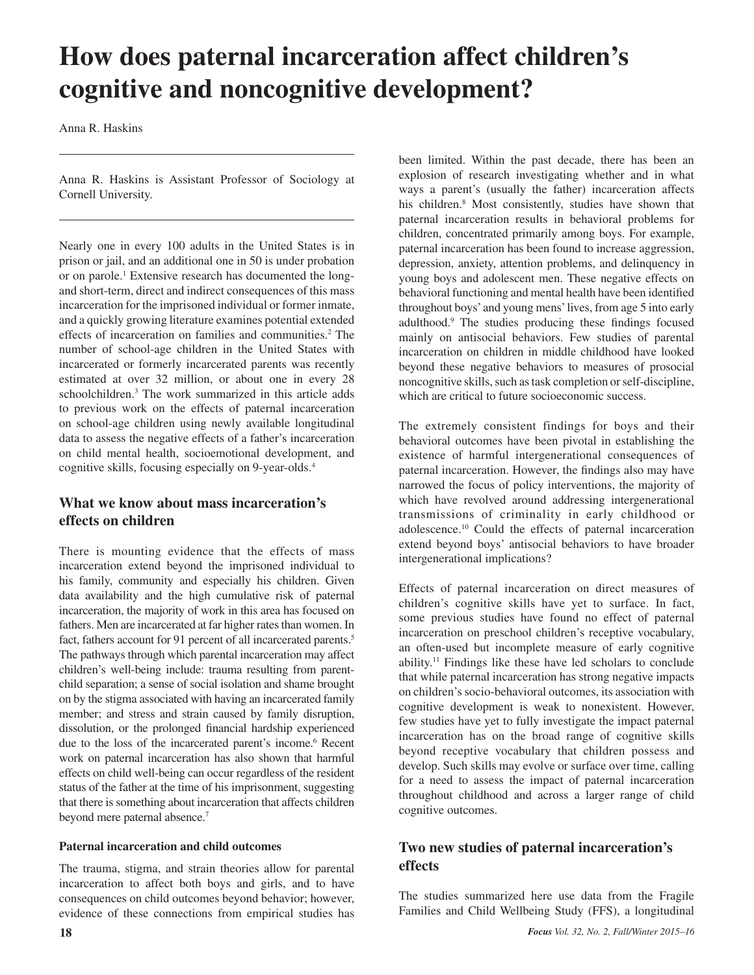# **How does paternal incarceration affect children's cognitive and noncognitive development?**

Anna R. Haskins

Anna R. Haskins is Assistant Professor of Sociology at Cornell University.

Nearly one in every 100 adults in the United States is in prison or jail, and an additional one in 50 is under probation or on parole.<sup>1</sup> Extensive research has documented the longand short-term, direct and indirect consequences of this mass incarceration for the imprisoned individual or former inmate, and a quickly growing literature examines potential extended effects of incarceration on families and communities.<sup>2</sup> The number of school-age children in the United States with incarcerated or formerly incarcerated parents was recently estimated at over 32 million, or about one in every 28 schoolchildren.3 The work summarized in this article adds to previous work on the effects of paternal incarceration on school-age children using newly available longitudinal data to assess the negative effects of a father's incarceration on child mental health, socioemotional development, and cognitive skills, focusing especially on 9-year-olds.4

## **What we know about mass incarceration's effects on children**

There is mounting evidence that the effects of mass incarceration extend beyond the imprisoned individual to his family, community and especially his children. Given data availability and the high cumulative risk of paternal incarceration, the majority of work in this area has focused on fathers. Men are incarcerated at far higher rates than women. In fact, fathers account for 91 percent of all incarcerated parents.<sup>5</sup> The pathways through which parental incarceration may affect children's well-being include: trauma resulting from parentchild separation; a sense of social isolation and shame brought on by the stigma associated with having an incarcerated family member; and stress and strain caused by family disruption, dissolution, or the prolonged financial hardship experienced due to the loss of the incarcerated parent's income.<sup>6</sup> Recent work on paternal incarceration has also shown that harmful effects on child well-being can occur regardless of the resident status of the father at the time of his imprisonment, suggesting that there is something about incarceration that affects children beyond mere paternal absence.7

### **Paternal incarceration and child outcomes**

The trauma, stigma, and strain theories allow for parental incarceration to affect both boys and girls, and to have consequences on child outcomes beyond behavior; however, evidence of these connections from empirical studies has

been limited. Within the past decade, there has been an explosion of research investigating whether and in what ways a parent's (usually the father) incarceration affects his children.8 Most consistently, studies have shown that paternal incarceration results in behavioral problems for children, concentrated primarily among boys. For example, paternal incarceration has been found to increase aggression, depression, anxiety, attention problems, and delinquency in young boys and adolescent men. These negative effects on behavioral functioning and mental health have been identified throughout boys' and young mens' lives, from age 5 into early adulthood.9 The studies producing these findings focused mainly on antisocial behaviors. Few studies of parental incarceration on children in middle childhood have looked beyond these negative behaviors to measures of prosocial noncognitive skills, such as task completion or self-discipline, which are critical to future socioeconomic success.

The extremely consistent findings for boys and their behavioral outcomes have been pivotal in establishing the existence of harmful intergenerational consequences of paternal incarceration. However, the findings also may have narrowed the focus of policy interventions, the majority of which have revolved around addressing intergenerational transmissions of criminality in early childhood or adolescence.10 Could the effects of paternal incarceration extend beyond boys' antisocial behaviors to have broader intergenerational implications?

Effects of paternal incarceration on direct measures of children's cognitive skills have yet to surface. In fact, some previous studies have found no effect of paternal incarceration on preschool children's receptive vocabulary, an often-used but incomplete measure of early cognitive ability.11 Findings like these have led scholars to conclude that while paternal incarceration has strong negative impacts on children's socio-behavioral outcomes, its association with cognitive development is weak to nonexistent. However, few studies have yet to fully investigate the impact paternal incarceration has on the broad range of cognitive skills beyond receptive vocabulary that children possess and develop. Such skills may evolve or surface over time, calling for a need to assess the impact of paternal incarceration throughout childhood and across a larger range of child cognitive outcomes.

## **Two new studies of paternal incarceration's effects**

The studies summarized here use data from the Fragile Families and Child Wellbeing Study (FFS), a longitudinal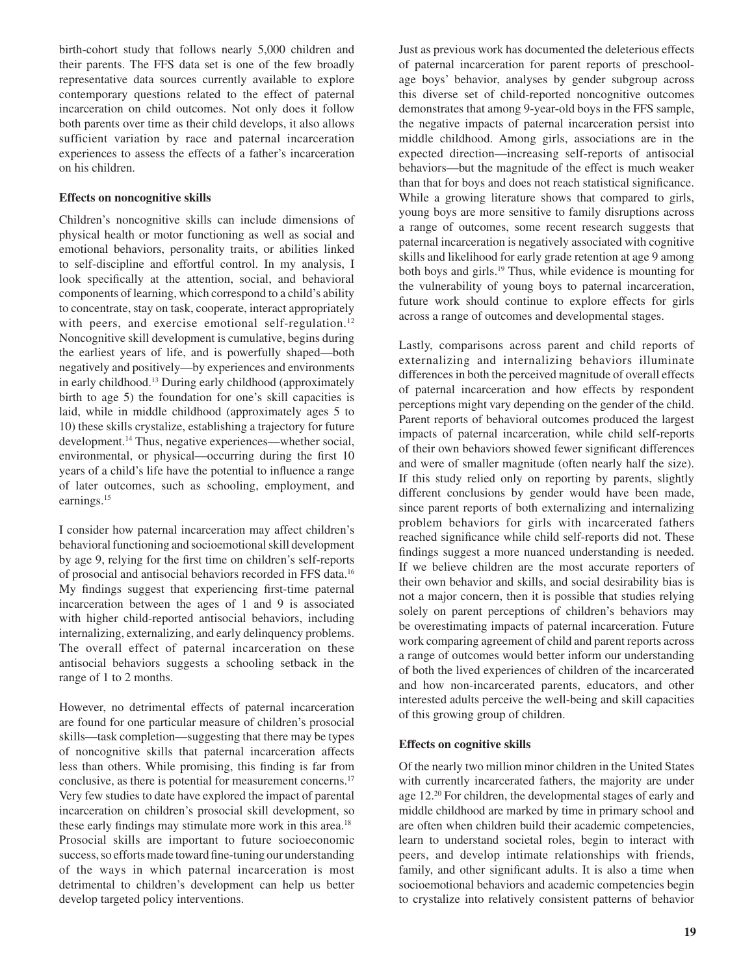birth-cohort study that follows nearly 5,000 children and their parents. The FFS data set is one of the few broadly representative data sources currently available to explore contemporary questions related to the effect of paternal incarceration on child outcomes. Not only does it follow both parents over time as their child develops, it also allows sufficient variation by race and paternal incarceration experiences to assess the effects of a father's incarceration on his children.

#### **Effects on noncognitive skills**

Children's noncognitive skills can include dimensions of physical health or motor functioning as well as social and emotional behaviors, personality traits, or abilities linked to self-discipline and effortful control. In my analysis, I look specifically at the attention, social, and behavioral components of learning, which correspond to a child's ability to concentrate, stay on task, cooperate, interact appropriately with peers, and exercise emotional self-regulation.<sup>12</sup> Noncognitive skill development is cumulative, begins during the earliest years of life, and is powerfully shaped—both negatively and positively—by experiences and environments in early childhood.13 During early childhood (approximately birth to age 5) the foundation for one's skill capacities is laid, while in middle childhood (approximately ages 5 to 10) these skills crystalize, establishing a trajectory for future development.14 Thus, negative experiences—whether social, environmental, or physical—occurring during the first 10 years of a child's life have the potential to influence a range of later outcomes, such as schooling, employment, and earnings.15

I consider how paternal incarceration may affect children's behavioral functioning and socioemotional skill development by age 9, relying for the first time on children's self-reports of prosocial and antisocial behaviors recorded in FFS data.16 My findings suggest that experiencing first-time paternal incarceration between the ages of 1 and 9 is associated with higher child-reported antisocial behaviors, including internalizing, externalizing, and early delinquency problems. The overall effect of paternal incarceration on these antisocial behaviors suggests a schooling setback in the range of 1 to 2 months.

However, no detrimental effects of paternal incarceration are found for one particular measure of children's prosocial skills—task completion—suggesting that there may be types of noncognitive skills that paternal incarceration affects less than others. While promising, this finding is far from conclusive, as there is potential for measurement concerns.<sup>17</sup> Very few studies to date have explored the impact of parental incarceration on children's prosocial skill development, so these early findings may stimulate more work in this area.<sup>18</sup> Prosocial skills are important to future socioeconomic success, so efforts made toward fine-tuning our understanding of the ways in which paternal incarceration is most detrimental to children's development can help us better develop targeted policy interventions.

Just as previous work has documented the deleterious effects of paternal incarceration for parent reports of preschoolage boys' behavior, analyses by gender subgroup across this diverse set of child-reported noncognitive outcomes demonstrates that among 9-year-old boys in the FFS sample, the negative impacts of paternal incarceration persist into middle childhood. Among girls, associations are in the expected direction—increasing self-reports of antisocial behaviors—but the magnitude of the effect is much weaker than that for boys and does not reach statistical significance. While a growing literature shows that compared to girls, young boys are more sensitive to family disruptions across a range of outcomes, some recent research suggests that paternal incarceration is negatively associated with cognitive skills and likelihood for early grade retention at age 9 among both boys and girls.19 Thus, while evidence is mounting for the vulnerability of young boys to paternal incarceration, future work should continue to explore effects for girls across a range of outcomes and developmental stages.

Lastly, comparisons across parent and child reports of externalizing and internalizing behaviors illuminate differences in both the perceived magnitude of overall effects of paternal incarceration and how effects by respondent perceptions might vary depending on the gender of the child. Parent reports of behavioral outcomes produced the largest impacts of paternal incarceration, while child self-reports of their own behaviors showed fewer significant differences and were of smaller magnitude (often nearly half the size). If this study relied only on reporting by parents, slightly different conclusions by gender would have been made, since parent reports of both externalizing and internalizing problem behaviors for girls with incarcerated fathers reached significance while child self-reports did not. These findings suggest a more nuanced understanding is needed. If we believe children are the most accurate reporters of their own behavior and skills, and social desirability bias is not a major concern, then it is possible that studies relying solely on parent perceptions of children's behaviors may be overestimating impacts of paternal incarceration. Future work comparing agreement of child and parent reports across a range of outcomes would better inform our understanding of both the lived experiences of children of the incarcerated and how non-incarcerated parents, educators, and other interested adults perceive the well-being and skill capacities of this growing group of children.

#### **Effects on cognitive skills**

Of the nearly two million minor children in the United States with currently incarcerated fathers, the majority are under age 12.<sup>20</sup> For children, the developmental stages of early and middle childhood are marked by time in primary school and are often when children build their academic competencies, learn to understand societal roles, begin to interact with peers, and develop intimate relationships with friends, family, and other significant adults. It is also a time when socioemotional behaviors and academic competencies begin to crystalize into relatively consistent patterns of behavior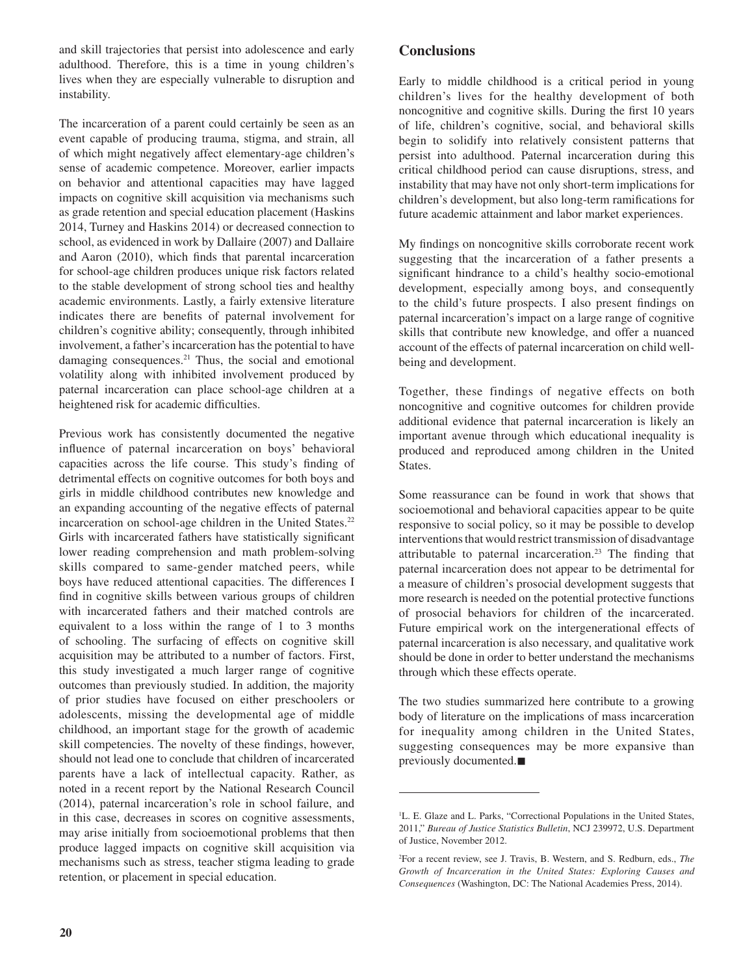and skill trajectories that persist into adolescence and early adulthood. Therefore, this is a time in young children's lives when they are especially vulnerable to disruption and instability.

The incarceration of a parent could certainly be seen as an event capable of producing trauma, stigma, and strain, all of which might negatively affect elementary-age children's sense of academic competence. Moreover, earlier impacts on behavior and attentional capacities may have lagged impacts on cognitive skill acquisition via mechanisms such as grade retention and special education placement (Haskins 2014, Turney and Haskins 2014) or decreased connection to school, as evidenced in work by Dallaire (2007) and Dallaire and Aaron (2010), which finds that parental incarceration for school-age children produces unique risk factors related to the stable development of strong school ties and healthy academic environments. Lastly, a fairly extensive literature indicates there are benefits of paternal involvement for children's cognitive ability; consequently, through inhibited involvement, a father's incarceration has the potential to have damaging consequences.21 Thus, the social and emotional volatility along with inhibited involvement produced by paternal incarceration can place school-age children at a heightened risk for academic difficulties.

Previous work has consistently documented the negative influence of paternal incarceration on boys' behavioral capacities across the life course. This study's finding of detrimental effects on cognitive outcomes for both boys and girls in middle childhood contributes new knowledge and an expanding accounting of the negative effects of paternal incarceration on school-age children in the United States.<sup>22</sup> Girls with incarcerated fathers have statistically significant lower reading comprehension and math problem-solving skills compared to same-gender matched peers, while boys have reduced attentional capacities. The differences I find in cognitive skills between various groups of children with incarcerated fathers and their matched controls are equivalent to a loss within the range of 1 to 3 months of schooling. The surfacing of effects on cognitive skill acquisition may be attributed to a number of factors. First, this study investigated a much larger range of cognitive outcomes than previously studied. In addition, the majority of prior studies have focused on either preschoolers or adolescents, missing the developmental age of middle childhood, an important stage for the growth of academic skill competencies. The novelty of these findings, however, should not lead one to conclude that children of incarcerated parents have a lack of intellectual capacity. Rather, as noted in a recent report by the National Research Council (2014), paternal incarceration's role in school failure, and in this case, decreases in scores on cognitive assessments, may arise initially from socioemotional problems that then produce lagged impacts on cognitive skill acquisition via mechanisms such as stress, teacher stigma leading to grade retention, or placement in special education.

## **Conclusions**

Early to middle childhood is a critical period in young children's lives for the healthy development of both noncognitive and cognitive skills. During the first 10 years of life, children's cognitive, social, and behavioral skills begin to solidify into relatively consistent patterns that persist into adulthood. Paternal incarceration during this critical childhood period can cause disruptions, stress, and instability that may have not only short-term implications for children's development, but also long-term ramifications for future academic attainment and labor market experiences.

My findings on noncognitive skills corroborate recent work suggesting that the incarceration of a father presents a significant hindrance to a child's healthy socio-emotional development, especially among boys, and consequently to the child's future prospects. I also present findings on paternal incarceration's impact on a large range of cognitive skills that contribute new knowledge, and offer a nuanced account of the effects of paternal incarceration on child wellbeing and development.

Together, these findings of negative effects on both noncognitive and cognitive outcomes for children provide additional evidence that paternal incarceration is likely an important avenue through which educational inequality is produced and reproduced among children in the United States.

Some reassurance can be found in work that shows that socioemotional and behavioral capacities appear to be quite responsive to social policy, so it may be possible to develop interventions that would restrict transmission of disadvantage attributable to paternal incarceration.23 The finding that paternal incarceration does not appear to be detrimental for a measure of children's prosocial development suggests that more research is needed on the potential protective functions of prosocial behaviors for children of the incarcerated. Future empirical work on the intergenerational effects of paternal incarceration is also necessary, and qualitative work should be done in order to better understand the mechanisms through which these effects operate.

The two studies summarized here contribute to a growing body of literature on the implications of mass incarceration for inequality among children in the United States, suggesting consequences may be more expansive than previously documented. $\blacksquare$ 

<sup>1</sup> L. E. Glaze and L. Parks, "Correctional Populations in the United States, 2011," *Bureau of Justice Statistics Bulletin*, NCJ 239972, U.S. Department of Justice, November 2012.

<sup>2</sup> For a recent review, see J. Travis, B. Western, and S. Redburn, eds., *The Growth of Incarceration in the United States: Exploring Causes and Consequences* (Washington, DC: The National Academies Press, 2014).